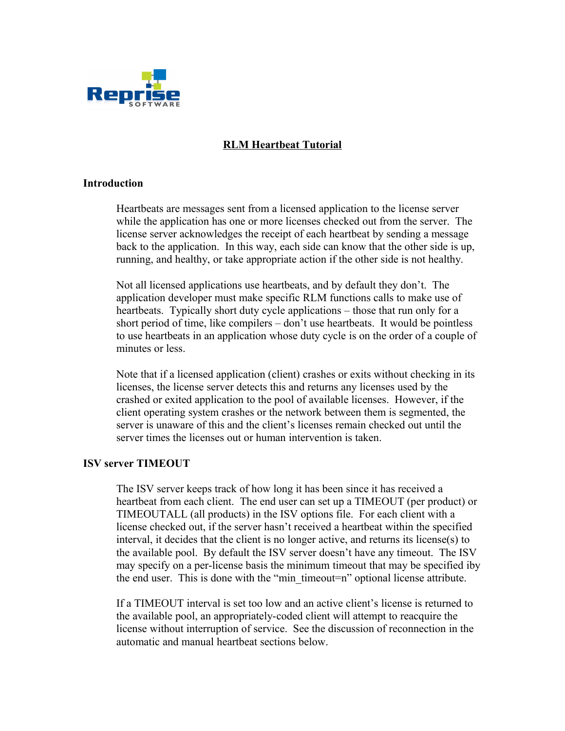

# **RLM Heartbeat Tutorial**

## **Introduction**

Heartbeats are messages sent from a licensed application to the license server while the application has one or more licenses checked out from the server. The license server acknowledges the receipt of each heartbeat by sending a message back to the application. In this way, each side can know that the other side is up, running, and healthy, or take appropriate action if the other side is not healthy.

Not all licensed applications use heartbeats, and by default they don't. The application developer must make specific RLM functions calls to make use of heartbeats. Typically short duty cycle applications – those that run only for a short period of time, like compilers – don't use heartbeats. It would be pointless to use heartbeats in an application whose duty cycle is on the order of a couple of minutes or less.

Note that if a licensed application (client) crashes or exits without checking in its licenses, the license server detects this and returns any licenses used by the crashed or exited application to the pool of available licenses. However, if the client operating system crashes or the network between them is segmented, the server is unaware of this and the client's licenses remain checked out until the server times the licenses out or human intervention is taken.

## **ISV server TIMEOUT**

The ISV server keeps track of how long it has been since it has received a heartbeat from each client. The end user can set up a TIMEOUT (per product) or TIMEOUTALL (all products) in the ISV options file. For each client with a license checked out, if the server hasn't received a heartbeat within the specified interval, it decides that the client is no longer active, and returns its license(s) to the available pool. By default the ISV server doesn't have any timeout. The ISV may specify on a per-license basis the minimum timeout that may be specified iby the end user. This is done with the "min\_timeout=n" optional license attribute.

If a TIMEOUT interval is set too low and an active client's license is returned to the available pool, an appropriately-coded client will attempt to reacquire the license without interruption of service. See the discussion of reconnection in the automatic and manual heartbeat sections below.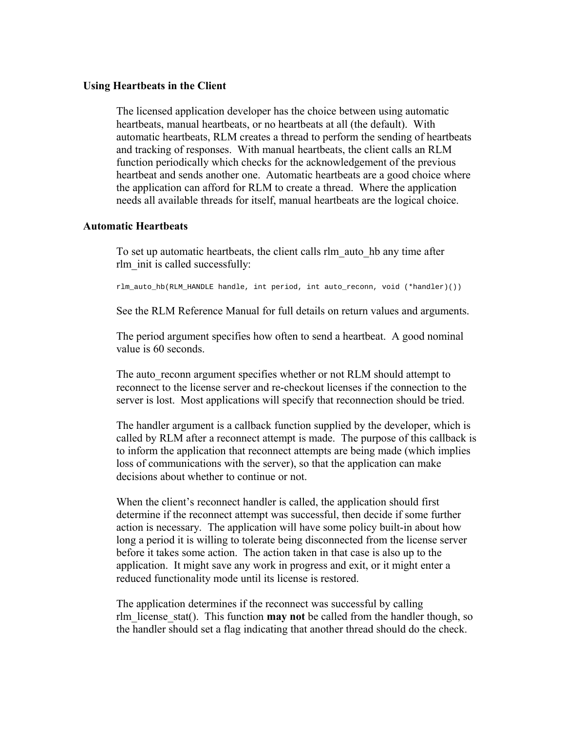#### **Using Heartbeats in the Client**

The licensed application developer has the choice between using automatic heartbeats, manual heartbeats, or no heartbeats at all (the default). With automatic heartbeats, RLM creates a thread to perform the sending of heartbeats and tracking of responses. With manual heartbeats, the client calls an RLM function periodically which checks for the acknowledgement of the previous heartbeat and sends another one. Automatic heartbeats are a good choice where the application can afford for RLM to create a thread. Where the application needs all available threads for itself, manual heartbeats are the logical choice.

## **Automatic Heartbeats**

To set up automatic heartbeats, the client calls rlm\_auto\_hb any time after rlm\_init is called successfully:

rlm\_auto\_hb(RLM\_HANDLE handle, int period, int auto\_reconn, void (\*handler)())

See the RLM Reference Manual for full details on return values and arguments.

The period argument specifies how often to send a heartbeat. A good nominal value is 60 seconds.

The auto reconn argument specifies whether or not RLM should attempt to reconnect to the license server and re-checkout licenses if the connection to the server is lost. Most applications will specify that reconnection should be tried.

The handler argument is a callback function supplied by the developer, which is called by RLM after a reconnect attempt is made. The purpose of this callback is to inform the application that reconnect attempts are being made (which implies loss of communications with the server), so that the application can make decisions about whether to continue or not.

When the client's reconnect handler is called, the application should first determine if the reconnect attempt was successful, then decide if some further action is necessary. The application will have some policy built-in about how long a period it is willing to tolerate being disconnected from the license server before it takes some action. The action taken in that case is also up to the application. It might save any work in progress and exit, or it might enter a reduced functionality mode until its license is restored.

The application determines if the reconnect was successful by calling rlm\_license\_stat(). This function **may not** be called from the handler though, so the handler should set a flag indicating that another thread should do the check.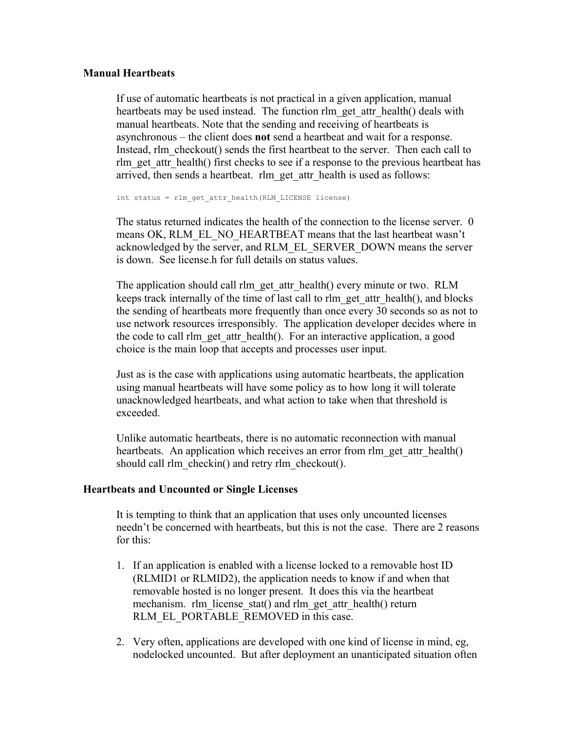## **Manual Heartbeats**

If use of automatic heartbeats is not practical in a given application, manual heartbeats may be used instead. The function rlm\_get\_attr\_health() deals with manual heartbeats. Note that the sending and receiving of heartbeats is asynchronous – the client does **not** send a heartbeat and wait for a response. Instead, rlm\_checkout() sends the first heartbeat to the server. Then each call to rlm get attr health() first checks to see if a response to the previous heartbeat has arrived, then sends a heartbeat. rlm\_get\_attr\_health is used as follows:

int status = rlm\_get\_attr\_health(RLM\_LICENSE license)

The status returned indicates the health of the connection to the license server. 0 means OK, RLM\_EL\_NO\_HEARTBEAT means that the last heartbeat wasn't acknowledged by the server, and RLM\_EL\_SERVER\_DOWN means the server is down. See license.h for full details on status values.

The application should call rlm\_get\_attr\_health() every minute or two. RLM keeps track internally of the time of last call to rlm\_get\_attr\_health(), and blocks the sending of heartbeats more frequently than once every 30 seconds so as not to use network resources irresponsibly. The application developer decides where in the code to call rlm\_get\_attr\_health(). For an interactive application, a good choice is the main loop that accepts and processes user input.

Just as is the case with applications using automatic heartbeats, the application using manual heartbeats will have some policy as to how long it will tolerate unacknowledged heartbeats, and what action to take when that threshold is exceeded.

Unlike automatic heartbeats, there is no automatic reconnection with manual heartbeats. An application which receives an error from rlm\_get\_attr\_health() should call rlm\_checkin() and retry rlm\_checkout().

## **Heartbeats and Uncounted or Single Licenses**

It is tempting to think that an application that uses only uncounted licenses needn't be concerned with heartbeats, but this is not the case. There are 2 reasons for this:

- 1. If an application is enabled with a license locked to a removable host ID (RLMID1 or RLMID2), the application needs to know if and when that removable hosted is no longer present. It does this via the heartbeat mechanism. rlm\_license\_stat() and rlm\_get\_attr\_health() return RLM\_EL\_PORTABLE\_REMOVED in this case.
- 2. Very often, applications are developed with one kind of license in mind, eg, nodelocked uncounted. But after deployment an unanticipated situation often